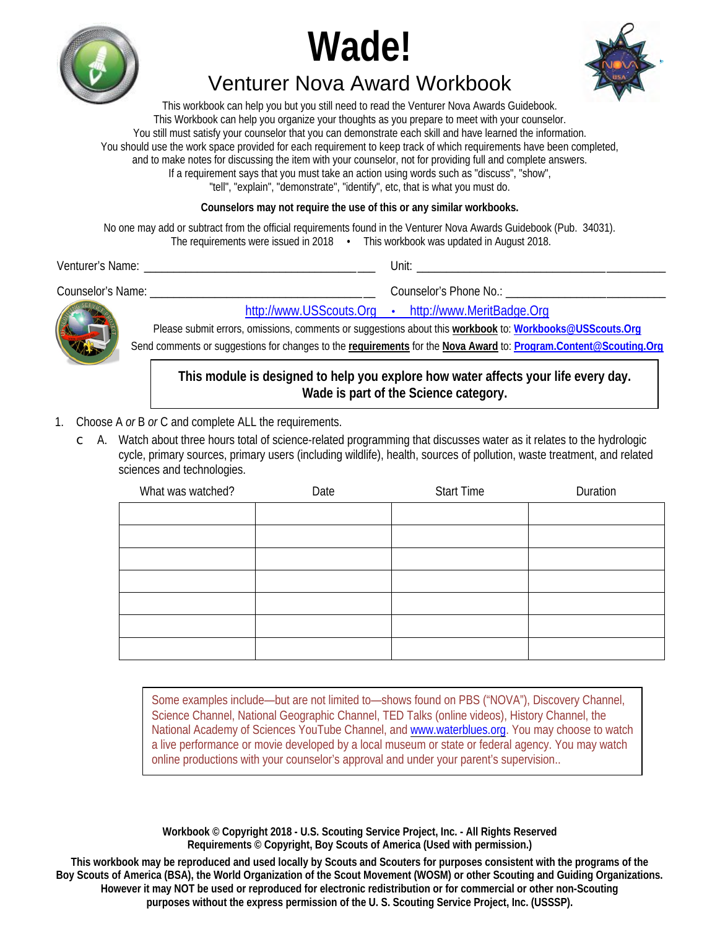





# **Venturer Nova Award Workbook**

This workbook can help you but you still need to read the Venturer Nova Awards Guidebook. This Workbook can help you organize your thoughts as you prepare to meet with your counselor. You still must satisfy your counselor that you can demonstrate each skill and have learned the information. You should use the work space provided for each requirement to keep track of which requirements have been completed, and to make notes for discussing the item with your counselor, not for providing full and complete answers. If a requirement says that you must take an action using words such as "discuss", "show", "tell", "explain", "demonstrate", "identify", etc, that is what you must do.

Counselors may not require the use of this or any similar workbooks.

No one may add or subtract from the official requirements found in the Venturer Nova Awards Guidebook (Pub. 34031). The requirements were issued in 2018 • This workbook was updated in August 2018.

| Venturer's Name:         | Unit <sup>.</sup>                                                                                       |
|--------------------------|---------------------------------------------------------------------------------------------------------|
| <b>Counselor's Name:</b> | Counselor's Phone No.:                                                                                  |
|                          | http://www.USScouts.Org • http://www.MeritBadge.Org                                                     |
| R                        | Please submit errors, omissions, comments or suggestions about this workbook to: Workbooks@USScouts.Org |

UIIS, CUMMENTS UI Send comments or suggestions for changes to the requirements for the Nova Award to: Program.Content@Scouting.Org

## This module is designed to help you explore how water affects your life every day. Wade is part of the Science category.

- 1. Choose A or B or C and complete ALL the requirements.
	- $\subset$  A. Watch about three hours total of science-related programming that discusses water as it relates to the hydrologic cycle, primary sources, primary users (including wildlife), health, sources of pollution, waste treatment, and related sciences and technologies.

| What was watched? | Date | <b>Start Time</b> | <b>Duration</b> |
|-------------------|------|-------------------|-----------------|
|                   |      |                   |                 |
|                   |      |                   |                 |
|                   |      |                   |                 |
|                   |      |                   |                 |
|                   |      |                   |                 |
|                   |      |                   |                 |
|                   |      |                   |                 |
|                   |      |                   |                 |

Some examples include—but are not limited to—shows found on PBS ("NOVA"), Discovery Channel, Science Channel, National Geographic Channel, TED Talks (online videos), History Channel, the National Academy of Sciences YouTube Channel, and www.waterblues.org. You may choose to watch a live performance or movie developed by a local museum or state or federal agency. You may watch online productions with your counselor's approval and under your parent's supervision..

Workbook © Copyright 2018 - U.S. Scouting Service Project, Inc. - All Rights Reserved Requirements © Copyright, Boy Scouts of America (Used with permission.)

This workbook may be reproduced and used locally by Scouts and Scouters for purposes consistent with the programs of the Boy Scouts of America (BSA), the World Organization of the Scout Movement (WOSM) or other Scouting and Guiding Organizations. However it may NOT be used or reproduced for electronic redistribution or for commercial or other non-Scouting purposes without the express permission of the U.S. Scouting Service Project, Inc. (USSSP).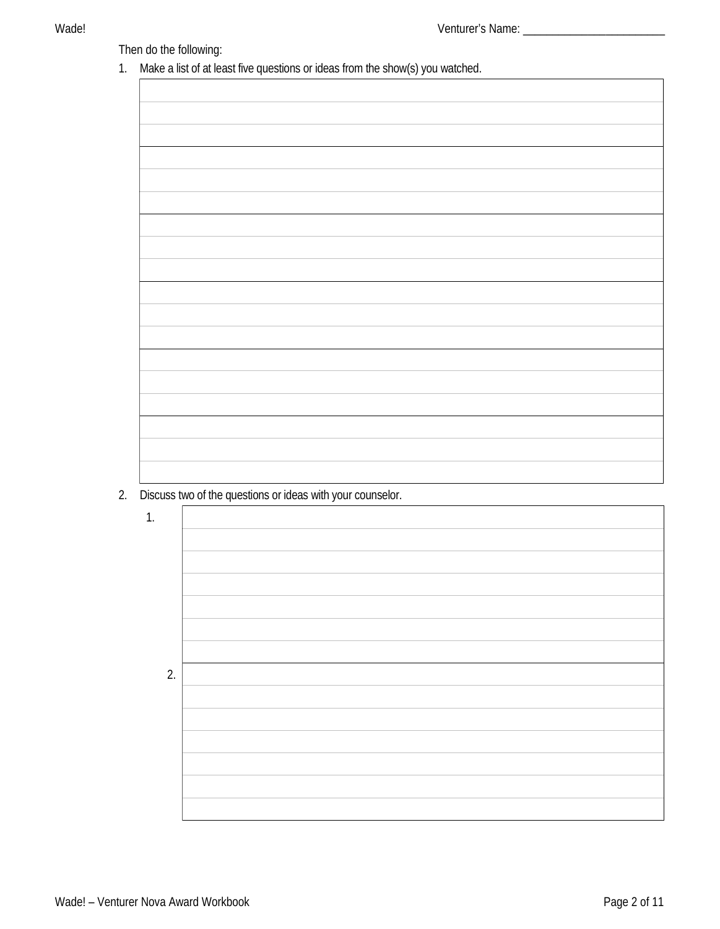## Wade!

# Then do the following:

1. Make a list of at least five questions or ideas from the show(s) you watched.

| . |
|---|
|   |
|   |
|   |
|   |
|   |
|   |
|   |
|   |
|   |
|   |
|   |
|   |
|   |
|   |
|   |
|   |
|   |
|   |
|   |
|   |
|   |
|   |
|   |
|   |
|   |
|   |
|   |
|   |
|   |
|   |
|   |
|   |
|   |
|   |
|   |
|   |
|   |
|   |
|   |
|   |
|   |
|   |
|   |
|   |
|   |
|   |
|   |
|   |
|   |
|   |
|   |
|   |
|   |
|   |
|   |
|   |
|   |
|   |
|   |
|   |
|   |
|   |
|   |
|   |
|   |
|   |
|   |
|   |
|   |
|   |
|   |
|   |
|   |
|   |
|   |
|   |
|   |
|   |
|   |
|   |
|   |
|   |
|   |
|   |
|   |
|   |
|   |
|   |
|   |
|   |
|   |
|   |

2. Discuss two of the questions or ideas with your counselor.

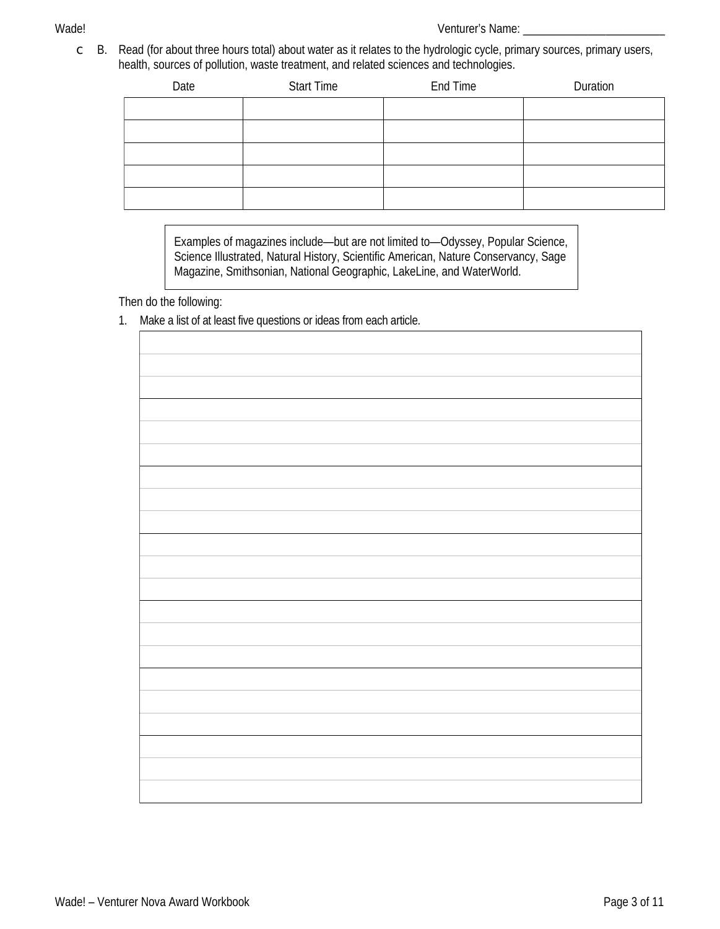$\subset$  B. Read (for about three hours total) about water as it relates to the hydrologic cycle, primary sources, primary users, health, sources of pollution, waste treatment, and related sciences and technologies.

| Date | <b>Start Time</b> | <b>End Time</b> | <b>Duration</b> |
|------|-------------------|-----------------|-----------------|
|      |                   |                 |                 |
|      |                   |                 |                 |
|      |                   |                 |                 |
|      |                   |                 |                 |
|      |                   |                 |                 |

Examples of magazines include—but are not limited to—Odyssey, Popular Science, Science Illustrated, Natural History, Scientific American, Nature Conservancy, Sage Magazine, Smithsonian, National Geographic, LakeLine, and WaterWorld.

Then do the following:

1. Make a list of at least five questions or ideas from each article.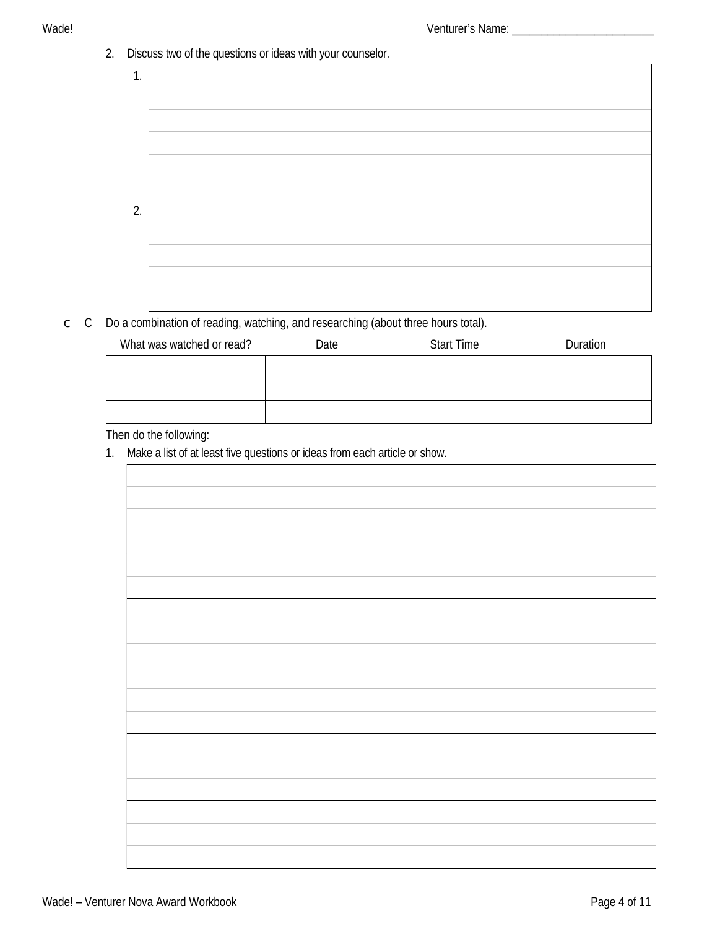## 2. Discuss two of the questions or ideas with your counselor.



# $\subset$  C Do a combination of reading, watching, and researching (about three hours total).

| What was watched or read? | Date | <b>Start Time</b> | <b>Duration</b> |
|---------------------------|------|-------------------|-----------------|
|                           |      |                   |                 |
|                           |      |                   |                 |
|                           |      |                   |                 |

# Then do the following:

1. Make a list of at least five questions or ideas from each article or show.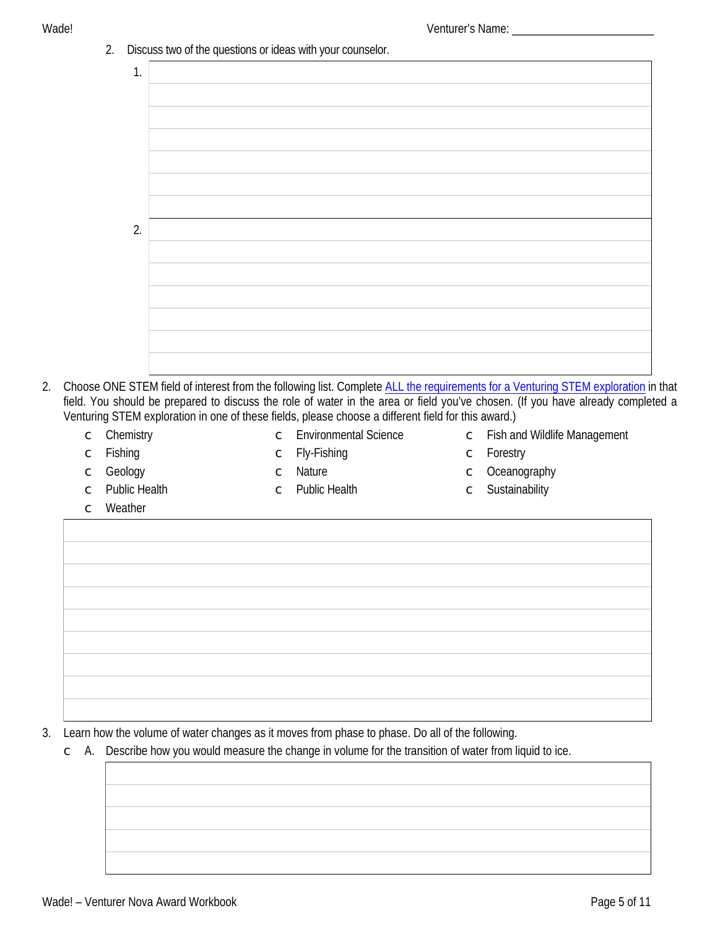2. Discuss two of the questions or ideas with your counselor.  $1<sup>1</sup>$ 



- 2. Choose ONE STEM field of interest from the following list. Complete ALL the requirements for a Venturing STEM exploration in that field. You should be prepared to discuss the role of water in the area or field you've chosen. (If you have already completed a Venturing STEM exploration in one of these fields, please choose a different field for this award.)
	- $\subset$  Chemistry

C Environmental Science

 $\subset$  Fishing

- $\subset$  Fly-Fishing
- 
- $\subset$  Fish and Wildlife Management
- $\subset$  Forestry

 $\subset$  Geology  $\subset$  Public Health

- $\subset$  Nature  $\subset$  Public Health
- $\subset$  Oceanography  $\subset$  Sustainability

 $\subset$  Weather

3. Learn how the volume of water changes as it moves from phase to phase. Do all of the following.

 $\subset$  A. Describe how you would measure the change in volume for the transition of water from liquid to ice.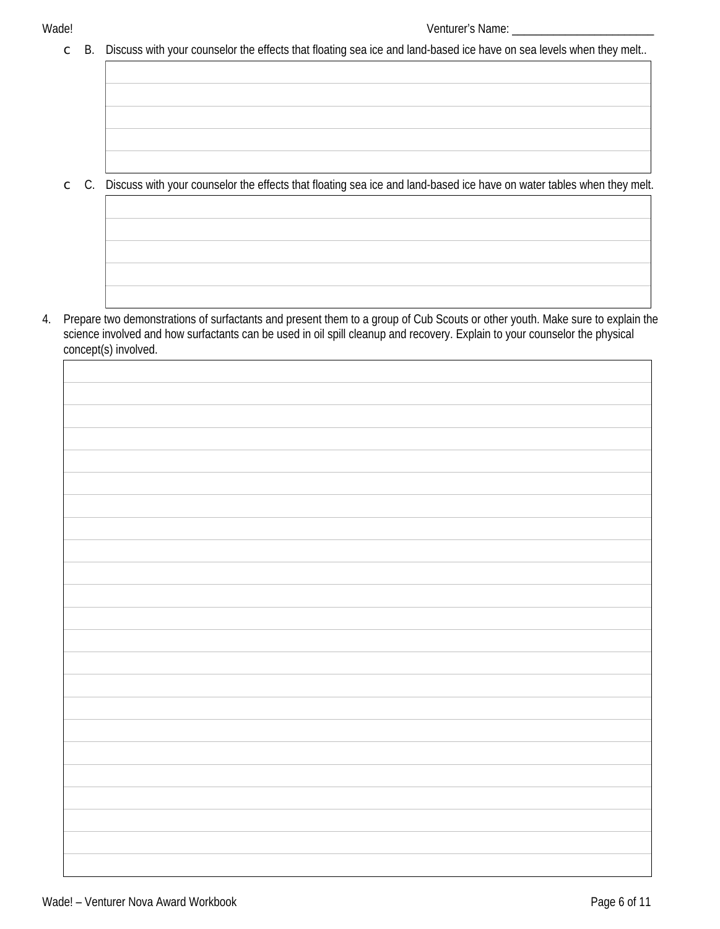$\mathsf C$ 

- B. Discuss with your counselor the effects that floating sea ice and land-based ice have on sea levels when they melt..  $\mathsf{C}$ 
	- C. Discuss with your counselor the effects that floating sea ice and land-based ice have on water tables when they melt.

4. Prepare two demonstrations of surfactants and present them to a group of Cub Scouts or other youth. Make sure to explain the science involved and how surfactants can be used in oil spill cleanup and recovery. Explain to your counselor the physical concept(s) involved.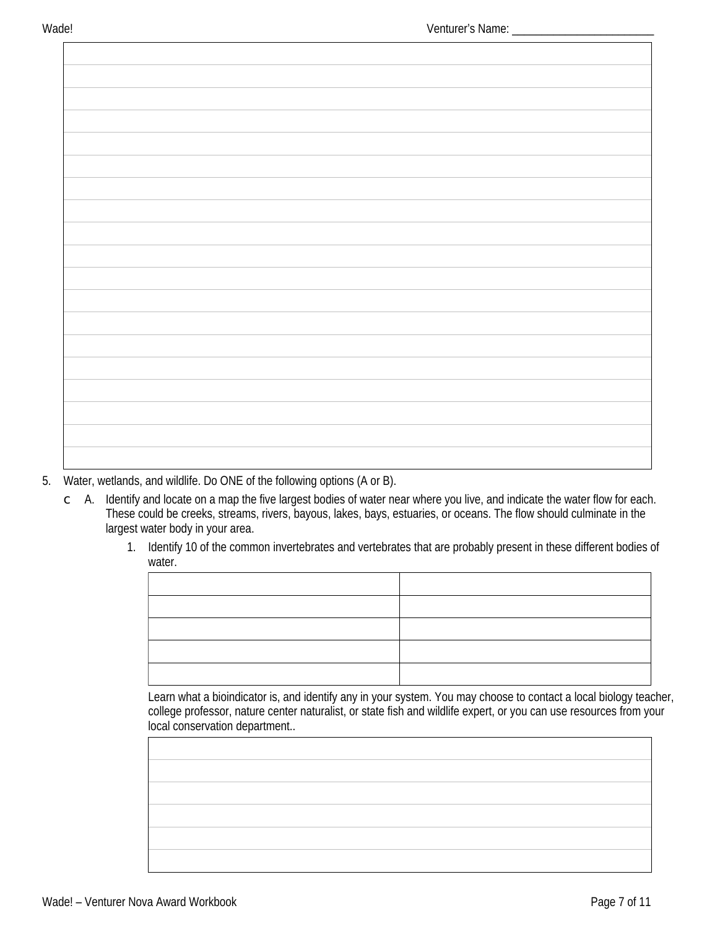- 5. Water, wetlands, and wildlife. Do ONE of the following options (A or B).
	- $\subset$  A. Identify and locate on a map the five largest bodies of water near where you live, and indicate the water flow for each. These could be creeks, streams, rivers, bayous, lakes, bays, estuaries, or oceans. The flow should culminate in the largest water body in your area.
		- 1. Identify 10 of the common invertebrates and vertebrates that are probably present in these different bodies of water.

Learn what a bioindicator is, and identify any in your system. You may choose to contact a local biology teacher, college professor, nature center naturalist, or state fish and wildlife expert, or you can use resources from your local conservation department..

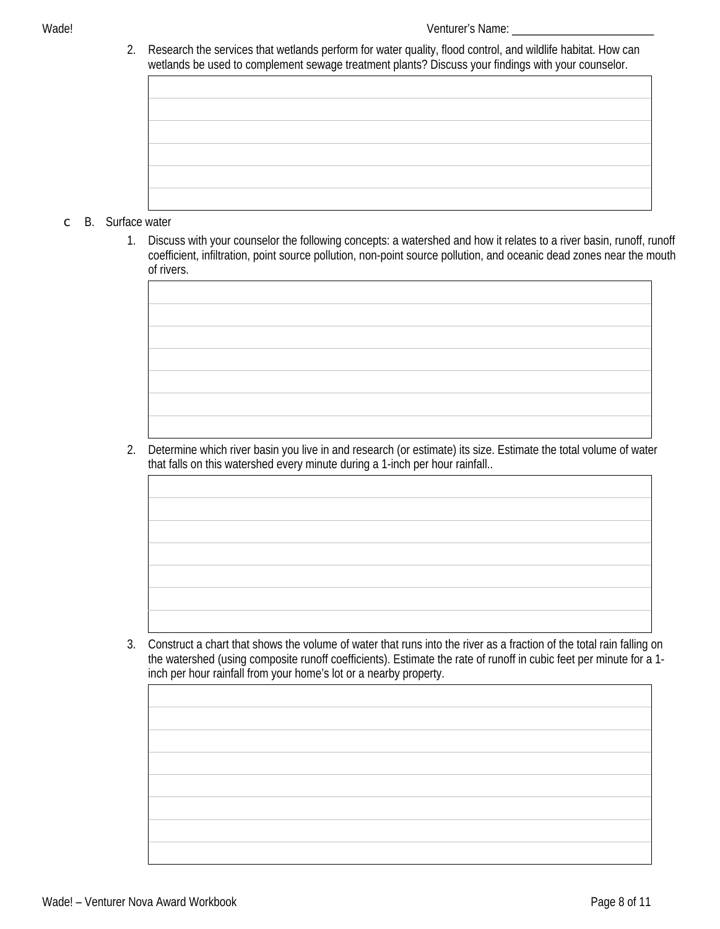2. Research the services that wetlands perform for water quality, flood control, and wildlife habitat. How can wetlands be used to complement sewage treatment plants? Discuss your findings with your counselor

| meaning be used to complement senage a cauncin plants. Disease your minings man your counselor. |  |  |
|-------------------------------------------------------------------------------------------------|--|--|
|                                                                                                 |  |  |
|                                                                                                 |  |  |
|                                                                                                 |  |  |
|                                                                                                 |  |  |
|                                                                                                 |  |  |
|                                                                                                 |  |  |
|                                                                                                 |  |  |
|                                                                                                 |  |  |
|                                                                                                 |  |  |
|                                                                                                 |  |  |
|                                                                                                 |  |  |
|                                                                                                 |  |  |

### $\subset$  B. Surface water

1. Discuss with your counselor the following concepts: a watershed and how it relates to a river basin, runoff, runoff coefficient, infiltration, point source pollution, non-point source pollution, and oceanic dead zones near the mouth of rivers.

2. Determine which river basin you live in and research (or estimate) its size. Estimate the total volume of water that falls on this watershed every minute during a 1-inch per hour rainfall..

3. Construct a chart that shows the volume of water that runs into the river as a fraction of the total rain falling on the watershed (using composite runoff coefficients). Estimate the rate of runoff in cubic feet per minute for a 1inch per hour rainfall from your home's lot or a nearby property.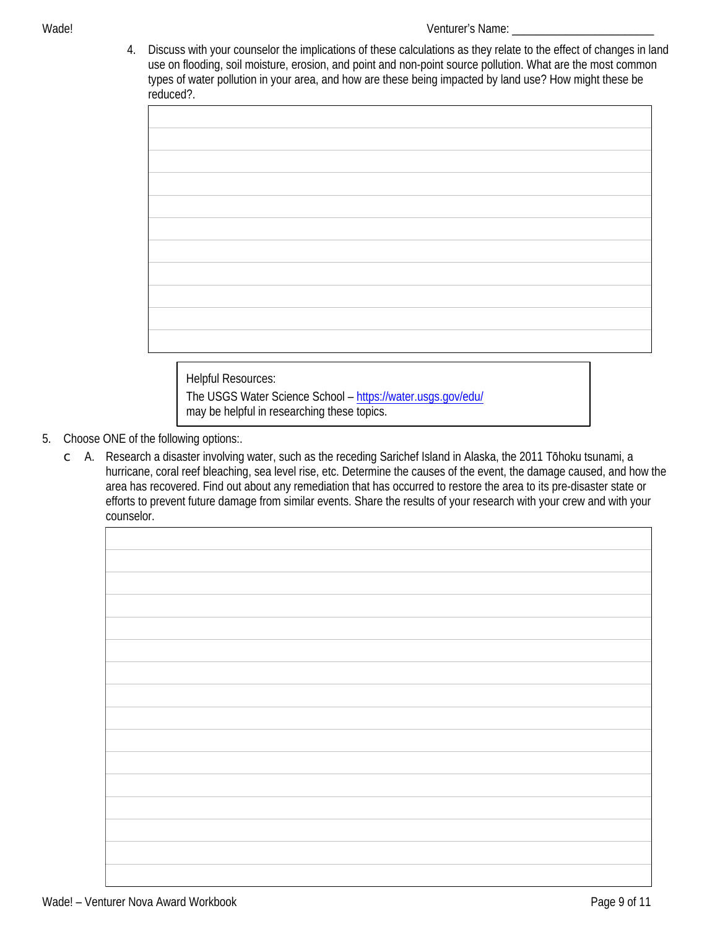4. Discuss with your counselor the implications of these calculations as they relate to the effect of changes in land use on flooding, soil moisture, erosion, and point and non-point source pollution. What are the most common types of water pollution in your area, and how are these being impacted by land use? How might these be reduced?.

**Helpful Resources:** The USGS Water Science School - https://water.usgs.gov/edu/ may be helpful in researching these topics.

- 5. Choose ONE of the following options:.
	- C A. Research a disaster involving water, such as the receding Sarichef Island in Alaska, the 2011 Tōhoku tsunami, a hurricane, coral reef bleaching, sea level rise, etc. Determine the causes of the event, the damage caused, and how the area has recovered. Find out about any remediation that has occurred to restore the area to its pre-disaster state or efforts to prevent future damage from similar events. Share the results of your research with your crew and with your counselor.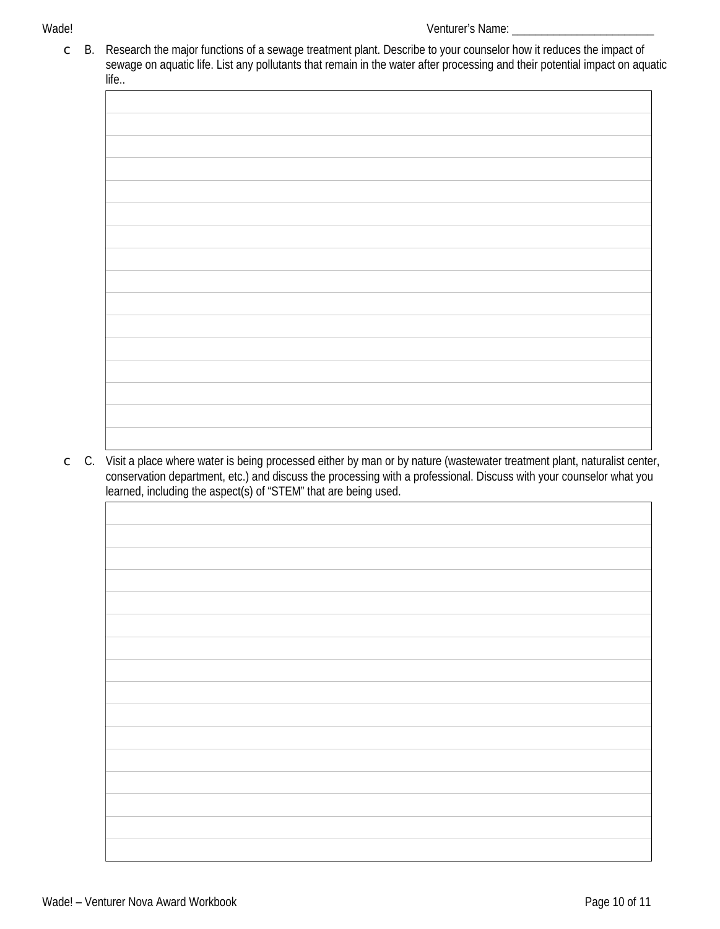#### Wade!

B. Research the major functions of a sewage treatment plant. Describe to your counselor how it reduces the impact of  $\mathsf{C}$ sewage on aquatic life. List any pollutants that remain in the water after processing and their potential impact on aquatic life..

C. Visit a place where water is being processed either by man or by nature (wastewater treatment plant, naturalist center,  $\mathsf{C}$ conservation department, etc.) and discuss the processing with a professional. Discuss with your counselor what you learned, including the aspect(s) of "STEM" that are being used.